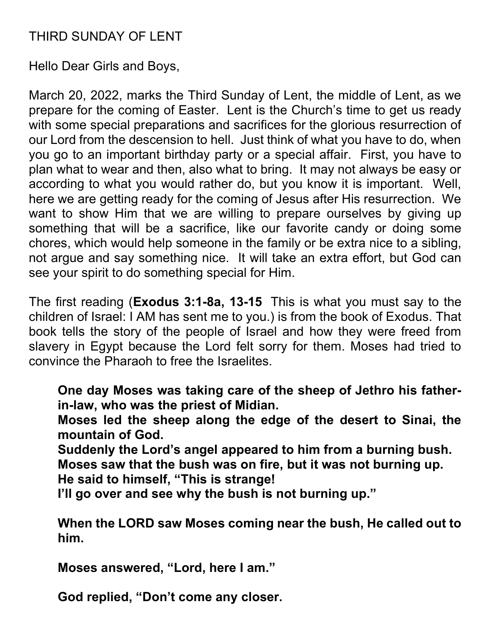# THIRD SUNDAY OF LENT

Hello Dear Girls and Boys,

March 20, 2022, marks the Third Sunday of Lent, the middle of Lent, as we prepare for the coming of Easter. Lent is the Church's time to get us ready with some special preparations and sacrifices for the glorious resurrection of our Lord from the descension to hell. Just think of what you have to do, when you go to an important birthday party or a special affair. First, you have to plan what to wear and then, also what to bring. It may not always be easy or according to what you would rather do, but you know it is important. Well, here we are getting ready for the coming of Jesus after His resurrection. We want to show Him that we are willing to prepare ourselves by giving up something that will be a sacrifice, like our favorite candy or doing some chores, which would help someone in the family or be extra nice to a sibling, not argue and say something nice. It will take an extra effort, but God can see your spirit to do something special for Him.

The first reading (Exodus 3:1-8a, 13-15 This is what you must say to the children of Israel: I AM has sent me to you.) is from the book of Exodus. That book tells the story of the people of Israel and how they were freed from slavery in Egypt because the Lord felt sorry for them. Moses had tried to convince the Pharaoh to free the Israelites.

One day Moses was taking care of the sheep of Jethro his fatherin-law, who was the priest of Midian.

Moses led the sheep along the edge of the desert to Sinai, the mountain of God.

Suddenly the Lord's angel appeared to him from a burning bush. Moses saw that the bush was on fire, but it was not burning up.

He said to himself, "This is strange!

I'll go over and see why the bush is not burning up."

When the LORD saw Moses coming near the bush, He called out to him.

Moses answered, "Lord, here I am."

God replied, "Don't come any closer.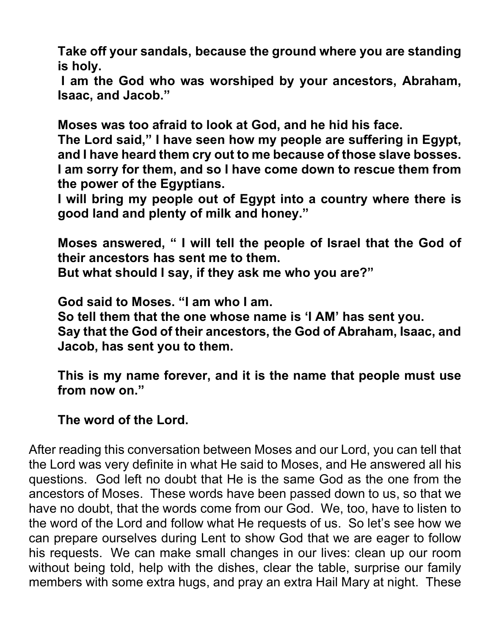Take off your sandals, because the ground where you are standing is holy.

 I am the God who was worshiped by your ancestors, Abraham, Isaac, and Jacob."

Moses was too afraid to look at God, and he hid his face.

The Lord said," I have seen how my people are suffering in Egypt, and I have heard them cry out to me because of those slave bosses. I am sorry for them, and so I have come down to rescue them from the power of the Egyptians.

I will bring my people out of Egypt into a country where there is good land and plenty of milk and honey."

Moses answered, " I will tell the people of Israel that the God of their ancestors has sent me to them. But what should I say, if they ask me who you are?"

God said to Moses. "I am who I am.

So tell them that the one whose name is 'I AM' has sent you. Say that the God of their ancestors, the God of Abraham, Isaac, and Jacob, has sent you to them.

This is my name forever, and it is the name that people must use from now on."

#### The word of the Lord.

After reading this conversation between Moses and our Lord, you can tell that the Lord was very definite in what He said to Moses, and He answered all his questions. God left no doubt that He is the same God as the one from the ancestors of Moses. These words have been passed down to us, so that we have no doubt, that the words come from our God. We, too, have to listen to the word of the Lord and follow what He requests of us. So let's see how we can prepare ourselves during Lent to show God that we are eager to follow his requests. We can make small changes in our lives: clean up our room without being told, help with the dishes, clear the table, surprise our family members with some extra hugs, and pray an extra Hail Mary at night. These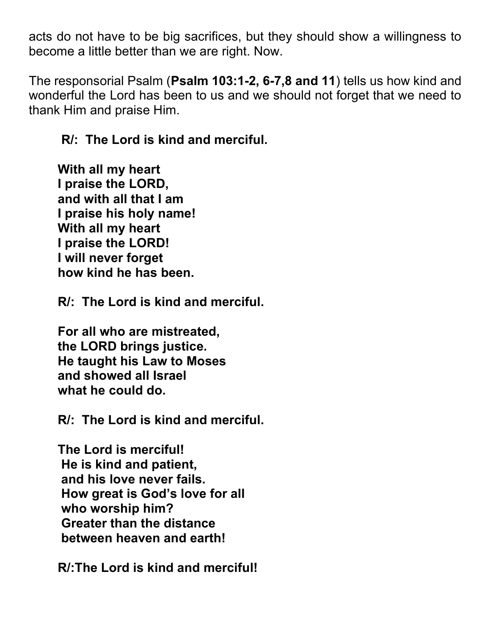acts do not have to be big sacrifices, but they should show a willingness to become a little better than we are right. Now.

The responsorial Psalm (Psalm 103:1-2, 6-7,8 and 11) tells us how kind and wonderful the Lord has been to us and we should not forget that we need to thank Him and praise Him.

## R/: The Lord is kind and merciful.

With all my heart I praise the LORD, and with all that I am I praise his holy name! With all my heart I praise the LORD! I will never forget how kind he has been.

R/: The Lord is kind and merciful.

For all who are mistreated, the LORD brings justice. He taught his Law to Moses and showed all Israel what he could do.

R/: The Lord is kind and merciful.

The Lord is merciful! He is kind and patient, and his love never fails. How great is God's love for all who worship him? Greater than the distance between heaven and earth!

R/:The Lord is kind and merciful!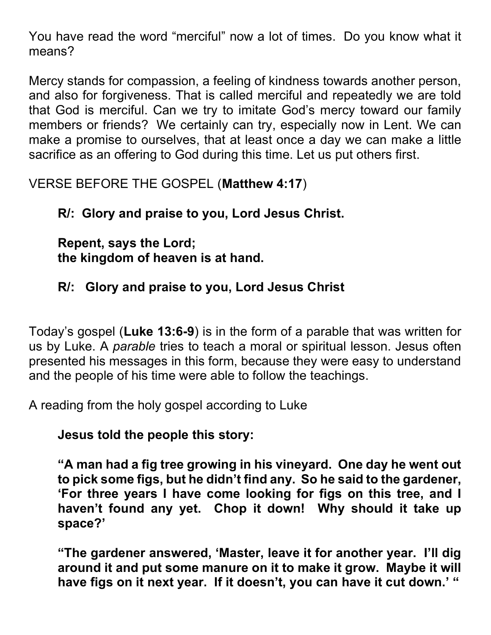You have read the word "merciful" now a lot of times. Do you know what it means?

Mercy stands for compassion, a feeling of kindness towards another person, and also for forgiveness. That is called merciful and repeatedly we are told that God is merciful. Can we try to imitate God's mercy toward our family members or friends? We certainly can try, especially now in Lent. We can make a promise to ourselves, that at least once a day we can make a little sacrifice as an offering to God during this time. Let us put others first.

VERSE BEFORE THE GOSPEL (Matthew 4:17)

R/: Glory and praise to you, Lord Jesus Christ.

Repent, says the Lord; the kingdom of heaven is at hand.

R/: Glory and praise to you, Lord Jesus Christ

Today's gospel (Luke 13:6-9) is in the form of a parable that was written for us by Luke. A parable tries to teach a moral or spiritual lesson. Jesus often presented his messages in this form, because they were easy to understand and the people of his time were able to follow the teachings.

A reading from the holy gospel according to Luke

Jesus told the people this story:

"A man had a fig tree growing in his vineyard. One day he went out to pick some figs, but he didn't find any. So he said to the gardener, 'For three years I have come looking for figs on this tree, and I haven't found any yet. Chop it down! Why should it take up space?'

"The gardener answered, 'Master, leave it for another year. I'll dig around it and put some manure on it to make it grow. Maybe it will have figs on it next year. If it doesn't, you can have it cut down.' "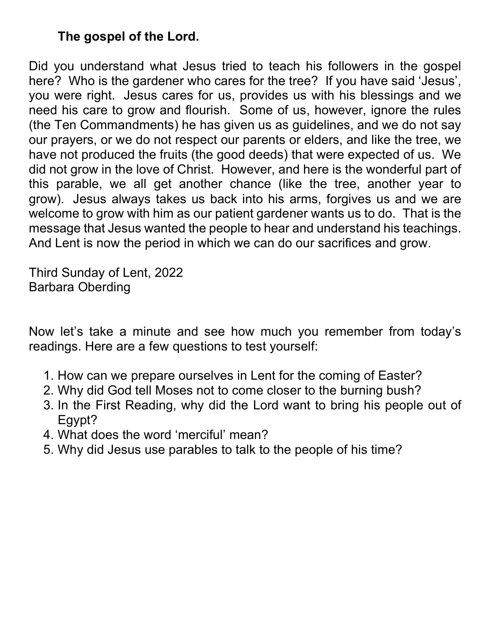## The gospel of the Lord.

Did you understand what Jesus tried to teach his followers in the gospel here? Who is the gardener who cares for the tree? If you have said 'Jesus', you were right. Jesus cares for us, provides us with his blessings and we need his care to grow and flourish. Some of us, however, ignore the rules (the Ten Commandments) he has given us as guidelines, and we do not say our prayers, or we do not respect our parents or elders, and like the tree, we have not produced the fruits (the good deeds) that were expected of us. We did not grow in the love of Christ. However, and here is the wonderful part of this parable, we all get another chance (like the tree, another year to grow). Jesus always takes us back into his arms, forgives us and we are welcome to grow with him as our patient gardener wants us to do. That is the message that Jesus wanted the people to hear and understand his teachings. And Lent is now the period in which we can do our sacrifices and grow.

Third Sunday of Lent, 2022 Barbara Oberding

Now let's take a minute and see how much you remember from today's readings. Here are a few questions to test yourself:

- 1. How can we prepare ourselves in Lent for the coming of Easter?
- 2. Why did God tell Moses not to come closer to the burning bush?
- 3. In the First Reading, why did the Lord want to bring his people out of Egypt?
- 4. What does the word 'merciful' mean?
- 5. Why did Jesus use parables to talk to the people of his time?